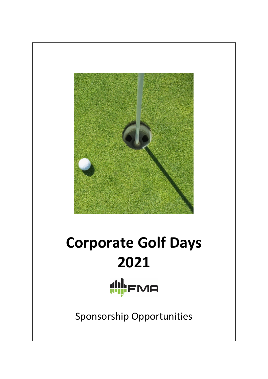

# **Corporate Golf Days 2021** (II)FMA

Sponsorship Opportunities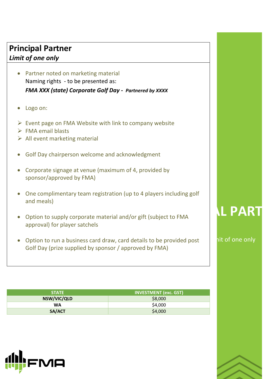# **Principal Partner**  *Limit of one only*

- Partner noted on marketing material Naming rights - to be presented as: *FMA XXX (state) Corporate Golf Day - Partnered by XXXX*
- Logo on:
- $\triangleright$  Event page on FMA Website with link to company website
- ➢ FMA email blasts
- ➢ All event marketing material
- Golf Day chairperson welcome and acknowledgment
- Corporate signage at venue (maximum of 4, provided by sponsor/approved by FMA)
- One complimentary team registration (up to 4 players including golf and meals)
- Option to supply corporate material and/or gift (subject to FMA approval) for player satchels
- Option to run a business card draw, card details to be provided post Golf Day (prize supplied by sponsor / approved by FMA)

| <b>STATE</b> | <b>INVESTMENT (exc. GST)</b> |  |  |
|--------------|------------------------------|--|--|
| NSW/VIC/QLD  | \$8,000                      |  |  |
| <b>WA</b>    | \$4,000                      |  |  |
| SA/ACT       | \$4,000                      |  |  |



# **L PAR**

hit of one only

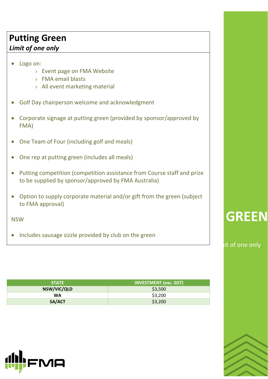# **Putting Green**

## *Limit of one only*

#### • Logo on:

- › Event page on FMA Website
- › FMA email blasts
- › All event marketing material
- Golf Day chairperson welcome and acknowledgment
- Corporate signage at putting green (provided by sponsor/approved by FMA)
- One Team of Four (including golf and meals)
- One rep at putting green (includes all meals)
- Putting competition (competition assistance from Course staff and prize to be supplied by sponsor/approved by FMA Australia)
- Option to supply corporate material and/or gift from the green (subject to FMA approval)

NSW

• Includes sausage sizzle provided by club on the green

| <b>STATE</b> | <b>INVESTMENT (exc. GST)</b> |  |
|--------------|------------------------------|--|
| NSW/VIC/QLD  | \$3,500                      |  |
| <b>WA</b>    | \$3,200                      |  |
| SA/ACT       | \$3,200                      |  |



# **GREEN**

it of one only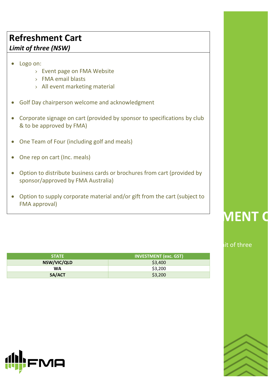# **Refreshment Cart**  *Limit of three (NSW)*

- Logo on:
	- › Event page on FMA Website
	- › FMA email blasts
	- › All event marketing material
- Golf Day chairperson welcome and acknowledgment
- Corporate signage on cart (provided by sponsor to specifications by club & to be approved by FMA)
- One Team of Four (including golf and meals)
- One rep on cart (Inc. meals)
- Option to distribute business cards or brochures from cart (provided by sponsor/approved by FMA Australia)
- Option to supply corporate material and/or gift from the cart (subject to FMA approval)

| <b>STATE</b> | <b>INVESTMENT (exc. GST)</b> |  |  |
|--------------|------------------------------|--|--|
| NSW/VIC/QLD  | \$3,400                      |  |  |
| <b>WA</b>    | \$3,200                      |  |  |
| SA/ACT       | \$3,200                      |  |  |



# **RENT**

#### it of three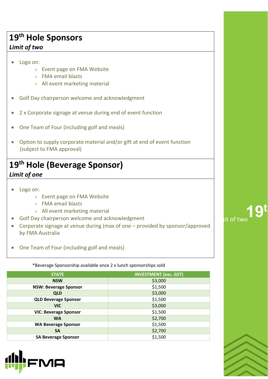# **19th Hole Sponsors**

#### *Limit of two*

- Logo on:
	- › Event page on FMA Website
	- › FMA email blasts
	- › All event marketing material
- Golf Day chairperson welcome and acknowledgment
- 2 x Corporate signage at venue during end of event function
- One Team of Four (including golf and meals)
- Option to supply corporate material and/or gift at end of event function (subject to FMA approval)

# **19th Hole (Beverage Sponsor)**  *Limit of one*

- Logo on:
	- › Event page on FMA Website
	- › FMA email blasts
	- › All event marketing material
- Golf Day chairperson welcome and acknowledgment
- Corporate signage at venue during (max of one provided by sponsor/approved by FMA Australia
- One Team of Four (including golf and meals)

\*Beverage Sponsorship available once 2 x lunch sponsorships sold

| <b>STATE</b>                 | <b>INVESTMENT (exc. GST)</b> |
|------------------------------|------------------------------|
| <b>NSW</b>                   | \$3,000                      |
| <b>NSW: Beverage Sponsor</b> | \$1,500                      |
| <b>QLD</b>                   | \$3,000                      |
| <b>QLD Beverage Sponsor</b>  | \$1,500                      |
| <b>VIC</b>                   | \$3,000                      |
| <b>VIC: Beverage Sponsor</b> | \$1,500                      |
| <b>WA</b>                    | \$2,700                      |
| <b>WA Beverage Sponsor</b>   | \$1,500                      |
| <b>SA</b>                    | \$2,700                      |
| <b>SA Beverage Sponsor</b>   | \$1,500                      |



lit of two<sup>19t</sup>

**19th Hole**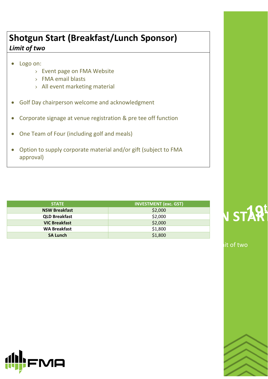# **Shotgun Start (Breakfast/Lunch Sponsor)**  *Limit of two*

- Logo on:
	- › Event page on FMA Website
	- › FMA email blasts
	- › All event marketing material
- Golf Day chairperson welcome and acknowledgment
- Corporate signage at venue registration & pre tee off function
- One Team of Four (including golf and meals)
- Option to supply corporate material and/or gift (subject to FMA approval)

| <b>STATE</b>         | <b>INVESTMENT (exc. GST)</b> |  |
|----------------------|------------------------------|--|
| <b>NSW Breakfast</b> | \$2,000                      |  |
| <b>QLD Breakfast</b> | \$2,000                      |  |
| <b>VIC Breakfast</b> | \$2,000                      |  |
| <b>WA Breakfast</b>  | \$1,800                      |  |
| <b>SA Lunch</b>      | \$1,800                      |  |



it of two

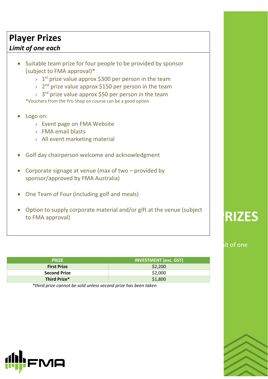# **Player Prizes**

### *Limit of one each*

- Suitable team prize for four people to be provided by sponsor (subject to FMA approval)\*
	- $\rightarrow$  1<sup>st</sup> prize value approx \$300 per person in the team
	- > 2<sup>nd</sup> prize value approx \$150 per person in the team
	- > 3<sup>rd</sup> prize value approx \$50 per person in the team

\*Vouchers from the Pro Shop on course can be a good option

- Logo on:
	- › Event page on FMA Website
	- › FMA email blasts
	- › All event marketing material
- Golf day chairperson welcome and acknowledgment
- Corporate signage at venue (max of two provided by sponsor/approved by FMA Australia)
- One Team of Four (including golf and meals)
- Option to supply corporate material and/or gift at the venue (subject to FMA approval)

# **RIZES**

#### it of one

| <b>PRIZE</b>        | <b>INVESTMENT (exc. GST)</b> |  |
|---------------------|------------------------------|--|
| <b>First Prize</b>  | \$2,200                      |  |
| <b>Second Prize</b> | \$2,000                      |  |
| Third Prize*        | \$1,800                      |  |

*\*third prize cannot be sold unless second prize has been taken*

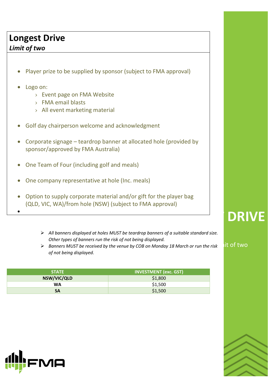# **Longest Drive**

### *Limit of two*

- Player prize to be supplied by sponsor (subject to FMA approval)
- Logo on:

•

- › Event page on FMA Website
- › FMA email blasts
- › All event marketing material
- Golf day chairperson welcome and acknowledgment
- Corporate signage teardrop banner at allocated hole (provided by sponsor/approved by FMA Australia)
- One Team of Four (including golf and meals)
- One company representative at hole (Inc. meals)
- Option to supply corporate material and/or gift for the player bag (QLD, VIC, WA)/from hole (NSW) (subject to FMA approval)
	- ➢ *All banners displayed at holes MUST be teardrop banners of a suitable standard size. Other types of banners run the risk of not being displayed.*
	- ➢ *Banners MUST be received by the venue by COB on Monday 18 March or run the risk of not being displayed.*

| <b>STATE</b> | <b>INVESTMENT (exc. GST)</b> |  |  |
|--------------|------------------------------|--|--|
| NSW/VIC/QLD  | \$1,800                      |  |  |
| WA           | \$1,500                      |  |  |
| <b>SA</b>    | \$1,500                      |  |  |



it of two

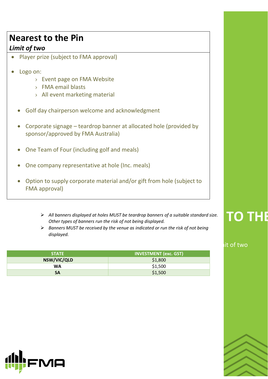# **Nearest to the Pin**

## *Limit of two*

- Player prize (subject to FMA approval)
- Logo on:
	- › Event page on FMA Website
	- › FMA email blasts
	- › All event marketing material
	- Golf day chairperson welcome and acknowledgment
	- Corporate signage teardrop banner at allocated hole (provided by sponsor/approved by FMA Australia)
	- One Team of Four (including golf and meals)
	- One company representative at hole (Inc. meals)
	- Option to supply corporate material and/or gift from hole (subject to FMA approval)
		- ▶ All banners displayed at holes MUST be teardrop banners of a suitable standard size. │ │ │ │ │ │ │ │ │ │ │ │<br>Other types of banners run the risk of not being displayed. *Other types of banners run the risk of not being displayed.*
		- ➢ *Banners MUST be received by the venue as indicated or run the risk of not being displayed.*

| <b>STATE</b> | <b>INVESTMENT (exc. GST)</b> |  |
|--------------|------------------------------|--|
| NSW/VIC/QLD  | \$1,800                      |  |
| <b>WA</b>    | \$1,500                      |  |
| <b>SA</b>    | \$1,500                      |  |



#### it of two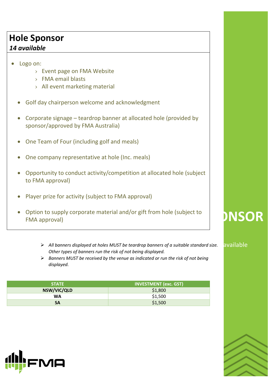# **Hole Sponsor**

## *14 available*

- Logo on:
	- › Event page on FMA Website
	- › FMA email blasts
	- › All event marketing material
	- Golf day chairperson welcome and acknowledgment
	- Corporate signage teardrop banner at allocated hole (provided by sponsor/approved by FMA Australia)
	- One Team of Four (including golf and meals)
	- One company representative at hole (Inc. meals)
	- Opportunity to conduct activity/competition at allocated hole (subject to FMA approval)
	- Player prize for activity (subject to FMA approval)
	- Option to supply corporate material and/or gift from hole (subject to FMA approval)
		- ➢ *All banners displayed at holes MUST be teardrop banners of a suitable standard size.* 14 available *Other types of banners run the risk of not being displayed.*
		- ➢ *Banners MUST be received by the venue as indicated or run the risk of not being displayed.*

| <b>STATE</b> | <b>INVESTMENT (exc. GST)</b> |  |  |
|--------------|------------------------------|--|--|
| NSW/VIC/QLD  | \$1,800                      |  |  |
| <b>WA</b>    | \$1,500                      |  |  |
| SΑ           | \$1,500                      |  |  |



# **HOLE SPONSOR**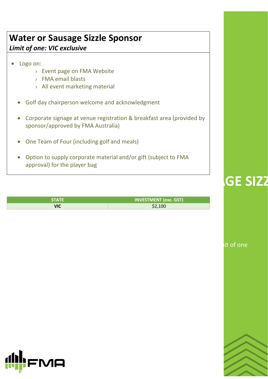# **Water or Sausage Sizzle Sponsor**  *Limit of one: VIC exclusive*

## • Logo on:

- › Event page on FMA Website
- › FMA email blasts
- › All event marketing material
- Golf day chairperson welcome and acknowledgment
- Corporate signage at venue registration & breakfast area (provided by sponsor/approved by FMA Australia)
- One Team of Four (including golf and meals)
- Option to supply corporate material and/or gift (subject to FMA approval) for the player bag

| <b>STATE</b> | <b>INVESTMENT (exc. GST)</b> |
|--------------|------------------------------|
| VIC          | \$2,100                      |

it of one

**GE SIZZ** 

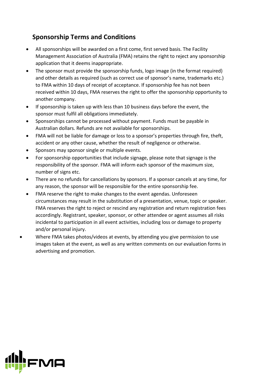### **Sponsorship Terms and Conditions**

- All sponsorships will be awarded on a first come, first served basis. The Facility Management Association of Australia (FMA) retains the right to reject any sponsorship application that it deems inappropriate.
- The sponsor must provide the sponsorship funds, logo image (in the format required) and other details as required (such as correct use of sponsor's name, trademarks etc.) to FMA within 10 days of receipt of acceptance. If sponsorship fee has not been received within 10 days, FMA reserves the right to offer the sponsorship opportunity to another company.
- If sponsorship is taken up with less than 10 business days before the event, the sponsor must fulfil all obligations immediately.
- Sponsorships cannot be processed without payment. Funds must be payable in Australian dollars. Refunds are not available for sponsorships.
- FMA will not be liable for damage or loss to a sponsor's properties through fire, theft, accident or any other cause, whether the result of negligence or otherwise.
- Sponsors may sponsor single or multiple events.
- For sponsorship opportunities that include signage, please note that signage is the<br>responsibility of the sponsor. FMA will inform each sponsor of the maximum size, responsibility of the sponsor. FMA will inform each sponsor of the maximum size, number of signs etc.
- There are no refunds for cancellations by sponsors. If a sponsor cancels at any time, for any reason, the sponsor will be responsible for the entire sponsorship fee.
- FMA reserve the right to make changes to the event agendas. Unforeseen circumstances may result in the substitution of a presentation, venue, topic or speaker. FMA reserves the right to reject or rescind any registration and return registration fees accordingly. Registrant, speaker, sponsor, or other attendee or agent assumes all risks incidental to participation in all event activities, including loss or damage to property and/or personal injury.
- Where FMA takes photos/videos at events, by attending you give permission to use images taken at the event, as well as any written comments on our evaluation forms in advertising and promotion.

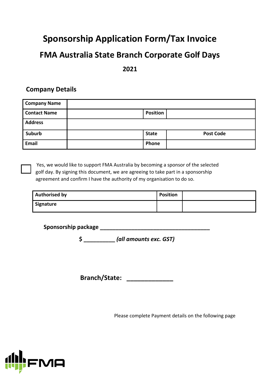# **Sponsorship Application Form/Tax Invoice**

## **FMA Australia State Branch Corporate Golf Days**

#### **2021**

#### **Company Details**

| <b>Company Name</b> |                 |                  |
|---------------------|-----------------|------------------|
| <b>Contact Name</b> | <b>Position</b> |                  |
| <b>Address</b>      |                 |                  |
| Suburb              | <b>State</b>    | <b>Post Code</b> |
| <b>Email</b>        | Phone           |                  |

Yes, we would like to support FMA Australia by becoming a sponsor of the selected golf day. By signing this document, we are agreeing to take part in a sponsorship agreement and confirm I have the authority of my organisation to do so.

| <b>Authorised by</b> | <b>Position</b> |  |
|----------------------|-----------------|--|
| Signature            |                 |  |

**Sponsorship package \_\_\_\_\_\_\_\_\_\_\_\_\_\_\_\_\_\_\_\_\_\_\_\_\_\_\_\_\_\_\_\_\_\_\_** 

**\$ \_\_\_\_\_\_\_\_\_\_** *(all amounts exc. GST)*

**Branch/State: \_\_\_\_\_\_\_\_\_\_\_\_\_**

Please complete Payment details on the following page